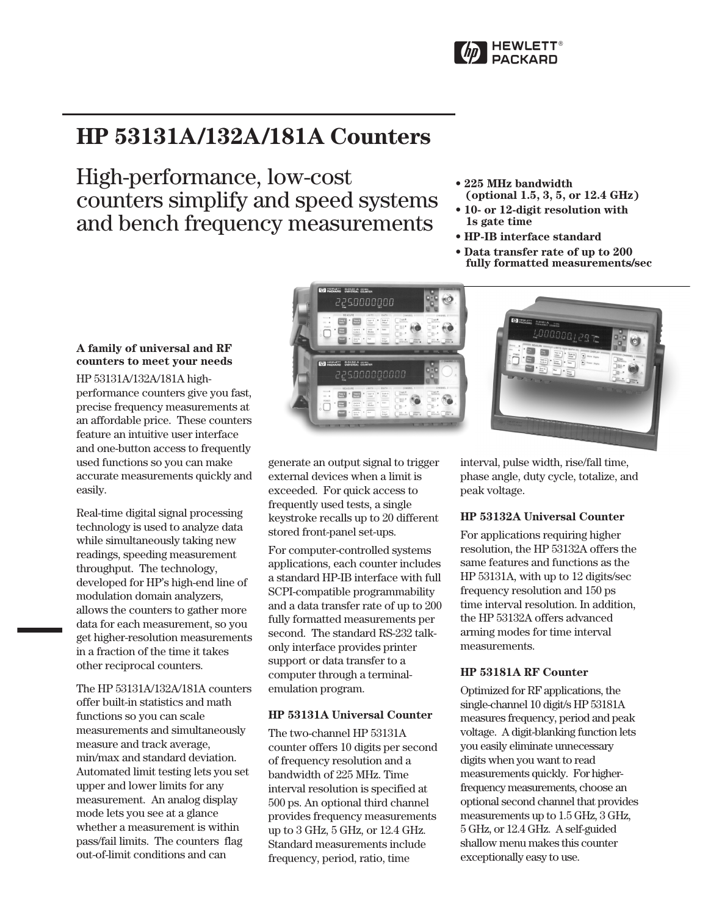

# **HP 53131A/132A/181A Counters**

High-performance, low-cost counters simplify and speed systems and bench frequency measurements

- **225 MHz bandwidth**
- **(optional 1.5, 3, 5, or 12.4 GHz) • 10- or 12-digit resolution with**
- **1s gate time**
- **HP-IB interface standard**
- **Data transfer rate of up to 200 fully formatted measurements/sec**

# **A family of universal and RF counters to meet your needs**

HP 53131A/132A/181A highperformance counters give you fast, precise frequency measurements at an affordable price. These counters feature an intuitive user interface and one-button access to frequently used functions so you can make accurate measurements quickly and easily.

Real-time digital signal processing technology is used to analyze data while simultaneously taking new readings, speeding measurement throughput. The technology, developed for HP's high-end line of modulation domain analyzers, allows the counters to gather more data for each measurement, so you get higher-resolution measurements in a fraction of the time it takes other reciprocal counters.

The HP 53131A/132A/181A counters offer built-in statistics and math functions so you can scale measurements and simultaneously measure and track average, min/max and standard deviation. Automated limit testing lets you set upper and lower limits for any measurement. An analog display mode lets you see at a glance whether a measurement is within pass/fail limits. The counters flag out-of-limit conditions and can



generate an output signal to trigger external devices when a limit is exceeded. For quick access to frequently used tests, a single keystroke recalls up to 20 different stored front-panel set-ups.

For computer-controlled systems applications, each counter includes a standard HP-IB interface with full SCPI-compatible programmability and a data transfer rate of up to 200 fully formatted measurements per second. The standard RS-232 talkonly interface provides printer support or data transfer to a computer through a terminalemulation program.

# **HP 53131A Universal Counter**

The two-channel HP 53131A counter offers 10 digits per second of frequency resolution and a bandwidth of 225 MHz. Time interval resolution is specified at 500 ps. An optional third channel provides frequency measurements up to 3 GHz, 5 GHz, or 12.4 GHz. Standard measurements include frequency, period, ratio, time



interval, pulse width, rise/fall time, phase angle, duty cycle, totalize, and peak voltage.

# **HP 53132A Universal Counter**

For applications requiring higher resolution, the HP 53132A offers the same features and functions as the HP 53131A, with up to 12 digits/sec frequency resolution and 150 ps time interval resolution. In addition, the HP 53132A offers advanced arming modes for time interval measurements.

# **HP 53181A RF Counter**

Optimized for RF applications, the single-channel 10 digit/s HP 53181A measures frequency, period and peak voltage. A digit-blanking function lets you easily eliminate unnecessary digits when you want to read measurements quickly. For higherfrequency measurements, choose an optional second channel that provides measurements up to 1.5 GHz, 3 GHz, 5 GHz, or 12.4 GHz. A self-guided shallow menu makes this counter exceptionally easy to use.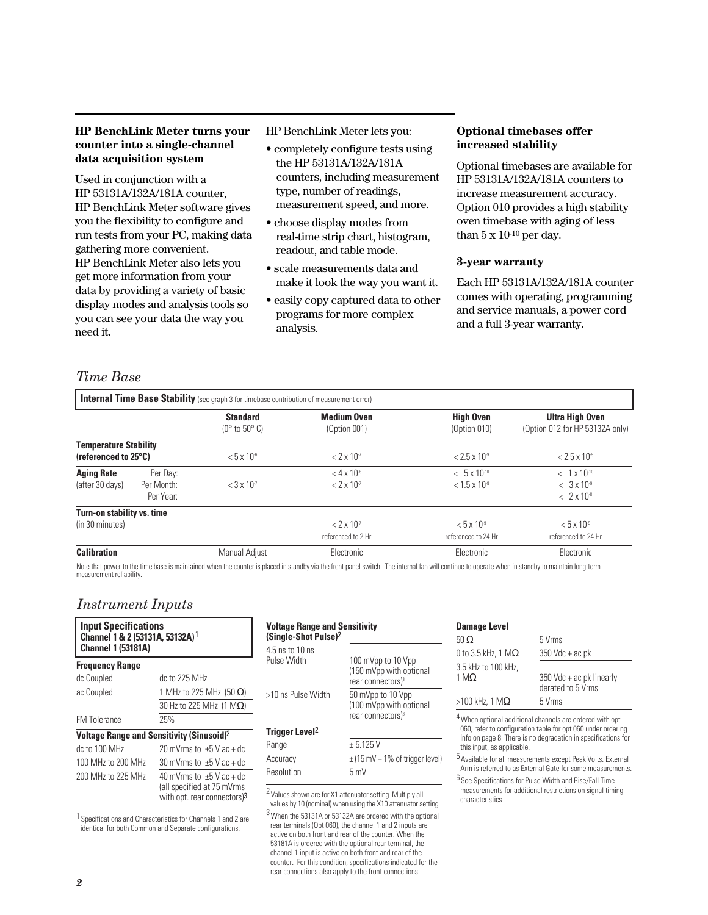# **HP BenchLink Meter turns your counter into a single-channel data acquisition system**

Used in conjunction with a HP 53131A/132A/181A counter, HP BenchLink Meter software gives you the flexibility to configure and run tests from your PC, making data gathering more convenient. HP BenchLink Meter also lets you get more information from your data by providing a variety of basic display modes and analysis tools so you can see your data the way you need it.

HP BenchLink Meter lets you:

- completely configure tests using the HP 53131A/132A/181A counters, including measurement type, number of readings, measurement speed, and more.
- choose display modes from real-time strip chart, histogram, readout, and table mode.
- scale measurements data and make it look the way you want it.
- easily copy captured data to other programs for more complex analysis.

# **Optional timebases offer increased stability**

Optional timebases are available for HP 53131A/132A/181A counters to increase measurement accuracy. Option 010 provides a high stability oven timebase with aging of less than  $5 \times 10^{-10}$  per day.

# **3-year warranty**

Each HP 53131A/132A/181A counter comes with operating, programming and service manuals, a power cord and a full 3-year warranty.

# *Time Base*

|                                                                |                                     | <b>Standard</b><br>$(0^{\circ}$ to 50 $^{\circ}$ C) | <b>Medium Oven</b><br>(Option 001)               | <b>High Oven</b><br>(Option 010)                | <b>Ultra High Oven</b><br>(Option 012 for HP 53132A only)               |
|----------------------------------------------------------------|-------------------------------------|-----------------------------------------------------|--------------------------------------------------|-------------------------------------------------|-------------------------------------------------------------------------|
| <b>Temperature Stability</b><br>(referenced to $25^{\circ}$ C) |                                     | $< 5 \times 10^{-6}$                                | $< 2 \times 10^{-7}$                             | $< 2.5 \times 10^{9}$                           | $< 2.5 \times 10^{-9}$                                                  |
| <b>Aging Rate</b><br>(after 30 days)                           | Per Dav:<br>Per Month:<br>Per Year: | $<$ 3 x 10 <sup>-7</sup>                            | $<$ 4 x 10 <sup>-8</sup><br>$< 2 \times 10^{-7}$ | $< 5 \times 10^{-10}$<br>$< 1.5 \times 10^{-8}$ | $< 1 \times 10^{-10}$<br>$<$ 3 x 10 <sup>o</sup><br>$< 2 \times 10^{8}$ |
| Turn-on stability vs. time                                     |                                     |                                                     |                                                  |                                                 |                                                                         |
| (in 30 minutes)                                                |                                     |                                                     | $< 2 \times 10^{-7}$<br>referenced to 2 Hr       | $< 5 \times 10^{-9}$<br>referenced to 24 Hr     | $< 5 \times 10^{-9}$<br>referenced to 24 Hr                             |
| <b>Calibration</b>                                             |                                     | Manual Adjust                                       | Electronic                                       | Electronic                                      | Electronic                                                              |

Note that power to the time base is maintained when the counter is placed in standby via the front panel switch. The internal fan will continue to operate when in standby to maintain long-term measurement reliability.

# *Instrument Inputs*

| <b>Input Specifications</b><br>Channel 1 & 2 (53131A, 53132A) 1<br><b>Channel 1 (53181A)</b> |                                                                                            |  |  |
|----------------------------------------------------------------------------------------------|--------------------------------------------------------------------------------------------|--|--|
| <b>Frequency Range</b>                                                                       |                                                                                            |  |  |
| dc Coupled                                                                                   | dc to 225 MHz                                                                              |  |  |
| ac Coupled                                                                                   | 1 MHz to 225 MHz (50 $\Omega$ )                                                            |  |  |
|                                                                                              | 30 Hz to 225 MHz $(1 M\Omega)$                                                             |  |  |
| <b>FM Tolerance</b>                                                                          | 25%                                                                                        |  |  |
| <b>Voltage Range and Sensitivity (Sinusoid)</b> <sup>2</sup>                                 |                                                                                            |  |  |
| dc to 100 MHz                                                                                | 20 mVrms to $\pm 5$ V ac + dc                                                              |  |  |
| 100 MHz to 200 MHz                                                                           | 30 mVrms to $\pm$ 5 V ac + dc                                                              |  |  |
| 200 MHz to 225 MHz                                                                           | 40 mVrms to $\pm$ 5 V ac + dc<br>(all specified at 75 mVrms<br>with opt. rear connectors)3 |  |  |

1 Specifications and Characteristics for Channels 1 and 2 are identical for both Common and Separate configurations.

| 4.5 ns to 10 ns<br>Pulse Width | 100 mVpp to 10 Vpp<br>(150 mVpp with optional<br>rear connectors) <sup>3</sup> |
|--------------------------------|--------------------------------------------------------------------------------|
| >10 ns Pulse Width             | 50 mVpp to 10 Vpp<br>(100 mVpp with optional<br>rear connectors) <sup>3</sup>  |
| Trigger Level <sup>2</sup>     |                                                                                |
| Range                          | $+5.125V$                                                                      |
| Accuracy                       | $\pm$ (15 mV + 1% of trigger level)                                            |
| 5mV<br>Resolution              |                                                                                |

2 Values shown are for X1 attenuator setting. Multiply all

values by 10 (nominal) when using the X10 attenuator setting. 3When the 53131A or 53132A are ordered with the optional rear terminals (Opt 060), the channel 1 and 2 inputs are active on both front and rear of the counter. When the 53181A is ordered with the optional rear terminal, the channel 1 input is active on both front and rear of the counter. For this condition, specifications indicated for the rear connections also apply to the front connections.

| <b>Damage Level</b>                 |                                               |
|-------------------------------------|-----------------------------------------------|
| 50 Ω                                | 5 Vrms                                        |
| 0 to 3.5 kHz, 1 M $\Omega$          | $350$ Vdc + ac pk                             |
| 3.5 kHz to 100 kHz,<br>1 M $\Omega$ | 350 Vdc + ac pk linearly<br>derated to 5 Vrms |
| $>100$ kHz, 1 M $\Omega$            | 5 Vrms                                        |
| $\overline{\phantom{a}}$            |                                               |

4When optional additional channels are ordered with opt 060, refer to configuration table for opt 060 under ordering info on page 8. There is no degradation in specifications for this input, as applicable.

 $5$  Available for all measurements except Peak Volts. External Arm is referred to as External Gate for some measurements.

 $^6$  See Specifications for Pulse Width and Rise/Fall Time measurements for additional restrictions on signal timing characteristics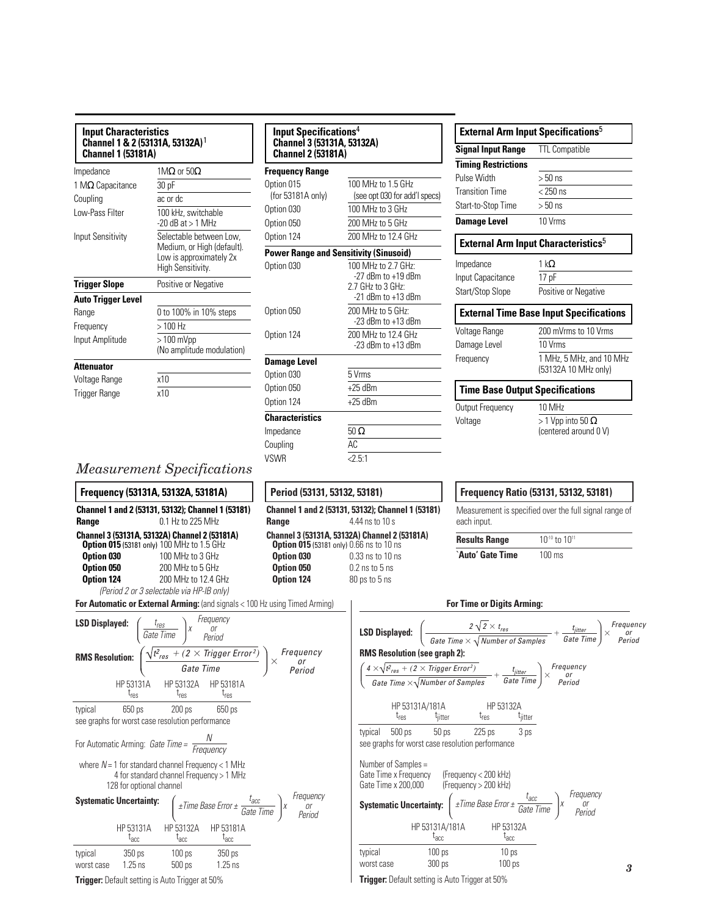| <b>Input Characteristics</b><br>Channel 1 & 2 (53131A, 53132A) 1<br><b>Channel 1 (53181A)</b> |                                                                                | Input Specifications <sup>4</sup><br><b>Channel 3 (53131A, 53132A)</b><br><b>Channel 2 (53181A)</b> |                                                                                                |  |
|-----------------------------------------------------------------------------------------------|--------------------------------------------------------------------------------|-----------------------------------------------------------------------------------------------------|------------------------------------------------------------------------------------------------|--|
| Impedance<br>1 M $\Omega$ Capacitance<br>Coupling<br>Low-Pass Filter                          | 1M $\Omega$ or 50 $\Omega$<br>30pF<br>ac or dc<br>100 kHz, switchable          | <b>Frequency Range</b><br>Option 015<br>(for 53181A only)<br>Option 030                             | 100 MHz to 1.5 GHz<br>(see opt 030 for add'l spec<br>100 MHz to 3 GHz                          |  |
| Input Sensitivity                                                                             | $-20$ dB at $> 1$ MHz<br>Selectable between Low,<br>Medium, or High (default). | Option 050<br>Option 124                                                                            | 200 MHz to 5 GHz<br>200 MHz to 12.4 GHz                                                        |  |
| <b>Trigger Slope</b>                                                                          | Low is approximately 2x<br>High Sensitivity.<br>Positive or Negative           | Option 030                                                                                          | <b>Power Range and Sensitivity (Sinusoid)</b><br>100 MHz to 2.7 GHz:<br>$-27$ dBm to $+19$ dBm |  |
| Auto Trigger Level<br>Range                                                                   | 0 to 100% in 10% steps                                                         | Option 050                                                                                          | 2.7 GHz to 3 GHz:<br>$-21$ dBm to $+13$ dBm<br>200 MHz to 5 GHz:<br>$-23$ dBm to $+13$ dBm     |  |
| Frequency<br>Input Amplitude                                                                  | $>100$ Hz<br>$>100$ mVpp<br>(No amplitude modulation)                          | Option 124                                                                                          | 200 MHz to 12.4 GHz<br>$-23$ dBm to $+13$ dBm                                                  |  |
| Attenuator<br>Voltage Range<br>Trigger Range                                                  | x10<br>x10                                                                     | <b>Damage Level</b><br>Option 030<br>Option 050<br>Option 124                                       | 5 Vrms<br>$+25$ dBm<br>$+25$ dBm                                                               |  |
|                                                                                               |                                                                                | <b>Characteristics</b>                                                                              |                                                                                                |  |

|                                        | <b>External Arm Input Specifications</b> <sup>5</sup>  |
|----------------------------------------|--------------------------------------------------------|
| <b>Signal Input Range</b>              | <b>TTL Compatible</b>                                  |
| <b>Timing Restrictions</b>             |                                                        |
| Pulse Width                            | $>50$ ns                                               |
| <b>Transition Time</b>                 | $< 250$ ns                                             |
| Start-to-Stop Time                     | $>50$ ns                                               |
| <b>Damage Level</b>                    | 10 Vrms                                                |
|                                        | <b>External Arm Input Characteristics</b> <sup>5</sup> |
| Impedance                              | 1 k $\Omega$                                           |
| Input Capacitance                      | 17 pF                                                  |
| Start/Stop Slope                       | Positive or Negative                                   |
|                                        | <b>External Time Base Input Specifications</b>         |
| Voltage Range                          | 200 mVrms to 10 Vrms                                   |
| Damage Level                           | 10 Vrms                                                |
| Frequency                              | 1 MHz, 5 MHz, and 10 MHz                               |
|                                        | (53132A 10 MHz only)                                   |
| <b>Time Base Output Specifications</b> |                                                        |
| Output Frequency                       | 10 MHz                                                 |
| Voltage                                | $>$ 1 Vpp into 50 $\Omega$<br>(centered around 0 V)    |

# *Measurement Specifications*



# **Period (53131, 53132, 53181)**

Impedance  $50 \Omega$ Coupling AC VSWR  $\overline{\langle 2.5:1 \rangle}$ 

**Channel 1 and 2 (53131, 53132); Channel 1 (53181) Range** 4.44 ns to 10 s **Channel 3 (53131A, 53132A) Channel 2 (53181A) Option 015** (53181 only) 0.66 ns to 10 ns<br>**Option 030** 0.33 ns to 10 ns **Option 030** 0.33 ns to 10 ns<br>**Option 050** 0.2 ns to 5 ns **0.2** ns to 5 ns **Option 124** 80 ps to 5 ns

# **Frequency Ratio (53131, 53132, 53181)**

Measurement is specified over the full signal range of each input.

**Results Range** 10<sup>-10</sup> to 10<sup>11</sup>

**`Auto' Gate Time** 100 ms

#### **For Time or Digits Arming:**

| <b>LSD Displayed:</b> $\left(\frac{2\sqrt{2} \times t_{res}}{\text{Gate Time} \times \sqrt{\text{Number of Samples}}} + \frac{t_{jitter}}{\text{Gate Time}}\right) \times \begin{array}{c} \text{Frequency} \\ \text{Period} \end{array}$ |                                                                                                                                    |                                                                                                                                                                                                                       |  |   |  |  |  |
|-------------------------------------------------------------------------------------------------------------------------------------------------------------------------------------------------------------------------------------------|------------------------------------------------------------------------------------------------------------------------------------|-----------------------------------------------------------------------------------------------------------------------------------------------------------------------------------------------------------------------|--|---|--|--|--|
| <b>RMS Resolution (see graph 2):</b>                                                                                                                                                                                                      |                                                                                                                                    |                                                                                                                                                                                                                       |  |   |  |  |  |
| $\left(\frac{4 \times \sqrt{t^2_{res} + (2 \times \text{trigger Error}^2)}}{\text{Gate Time} \times \sqrt{\text{Number of Samples}}} + \frac{t_{jitter}}{\text{Gate Time}}\right) \times \frac{\text{Frequency}}{\text{Period}}$          |                                                                                                                                    |                                                                                                                                                                                                                       |  |   |  |  |  |
|                                                                                                                                                                                                                                           |                                                                                                                                    |                                                                                                                                                                                                                       |  |   |  |  |  |
|                                                                                                                                                                                                                                           | $\begin{array}{ccc} \text{HP 53131A/181A} & & \text{HP 53132A} \\ \text{t}_\text{res} & & \text{t}_\text{jitter} & \\ \end{array}$ |                                                                                                                                                                                                                       |  |   |  |  |  |
| typical 500 ps 50 ps 225 ps 3 ps<br>see graphs for worst case resolution performance                                                                                                                                                      |                                                                                                                                    |                                                                                                                                                                                                                       |  |   |  |  |  |
| Number of Samples =                                                                                                                                                                                                                       | Gate Time x Frequency (Frequency < 200 kHz)<br>Gate Time x 200,000 (Frequency > 200 kHz)                                           |                                                                                                                                                                                                                       |  |   |  |  |  |
|                                                                                                                                                                                                                                           |                                                                                                                                    | <b>Systematic Uncertainty:</b> $\left(\begin{array}{cc} \pm \text{Time Base Error} \pm \frac{t_{\text{acc}}}{\text{Gate Time}} \end{array}\right)$ x $\begin{array}{c} \text{Frequency} \\ \text{Period} \end{array}$ |  |   |  |  |  |
|                                                                                                                                                                                                                                           | $t_{\rm acc}$                                                                                                                      | HP 53131A/181A HP 53132A<br>$t_{\rm acc}$                                                                                                                                                                             |  |   |  |  |  |
| typical                                                                                                                                                                                                                                   | $100 \text{ ps}$                                                                                                                   | 10 ps                                                                                                                                                                                                                 |  |   |  |  |  |
| worst case                                                                                                                                                                                                                                | 300 <sub>ps</sub>                                                                                                                  | 100 <sub>ps</sub>                                                                                                                                                                                                     |  | 3 |  |  |  |
| <b>Trigger:</b> Default setting is Auto Trigger at 50%                                                                                                                                                                                    |                                                                                                                                    |                                                                                                                                                                                                                       |  |   |  |  |  |

|                                                                                                                              | <b>LSD Displayed:</b> $\left(\begin{array}{cc} \frac{t_{\textit{res}}}{\textit{Gate Time}}\end{array}\right)$ x $\begin{array}{c} \textit{Frequency} \\ \textit{or} \\ \textit{Period} \end{array}$ |                                                                |  |                                                                                                                                                                                                                                |
|------------------------------------------------------------------------------------------------------------------------------|-----------------------------------------------------------------------------------------------------------------------------------------------------------------------------------------------------|----------------------------------------------------------------|--|--------------------------------------------------------------------------------------------------------------------------------------------------------------------------------------------------------------------------------|
|                                                                                                                              |                                                                                                                                                                                                     |                                                                |  | <i>L</i> Gate Time $\int$ Period<br><b>RMS Resolution:</b> $\left(\frac{\sqrt{t^2_{res} + (2 \times \text{ trigger Error}^2)}}{\text{Gate Time}}\right) \times \begin{array}{c} \text{Frequency} \\ \text{Period} \end{array}$ |
|                                                                                                                              |                                                                                                                                                                                                     | HP 53131A HP 53132A HP 53181A<br>$t_{res}$ $t_{res}$ $t_{res}$ |  |                                                                                                                                                                                                                                |
| typical                                                                                                                      | see graphs for worst case resolution performance                                                                                                                                                    | 650 ps 200 ps 650 ps                                           |  |                                                                                                                                                                                                                                |
| For Automatic Arming: Gate Time = $\frac{N}{F_{\text{F}\text{EQUENCV}}}$                                                     |                                                                                                                                                                                                     |                                                                |  |                                                                                                                                                                                                                                |
| where $N = 1$ for standard channel Frequency < 1 MHz<br>4 for standard channel Frequency > 1 MHz<br>128 for optional channel |                                                                                                                                                                                                     |                                                                |  |                                                                                                                                                                                                                                |
|                                                                                                                              |                                                                                                                                                                                                     |                                                                |  | <b>Systematic Uncertainty:</b> $\left(\begin{array}{cc} \pm Time \ Base \ Error \pm \ \frac{face}{Gate \ Time} \end{array}\right)$ <i>x</i> Frequency                                                                          |
|                                                                                                                              | $t_{\text{acc}}$                                                                                                                                                                                    | HP 53131A HP 53132A HP 53181A<br>$t_{acc}$ $t_{acc}$           |  |                                                                                                                                                                                                                                |
| typical                                                                                                                      | 350 ps 350 ps 350 ps<br>worst case 1.25 ns 500 ps 1.25 ns                                                                                                                                           |                                                                |  |                                                                                                                                                                                                                                |

**For Automatic or External Arming:** (and signals < 100 Hz using Timed Arming)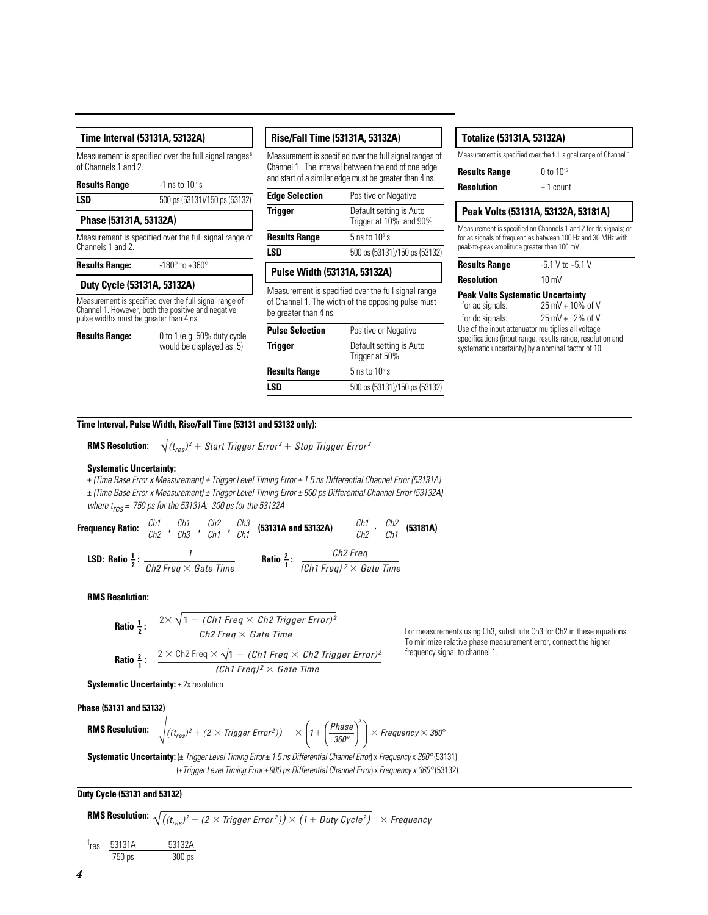Measurement is specified over the full signal ranges<sup>6</sup> of Channels 1 and 2.

| <b>Results Range</b> | $-1$ ns to $10^5$ s           |  |
|----------------------|-------------------------------|--|
| LSD                  | 500 ps (53131)/150 ps (53132) |  |

| I<br>$\sim$ | ۰. |
|-------------|----|
|-------------|----|

#### **Phase (53131A, 53132A)**

Measurement is specified over the full signal range of Channels 1 and 2.

**Results Range:** -180° to +360°

## **Duty Cycle (53131A, 53132A)**

Measurement is specified over the full signal range of Channel 1. However, both the positive and negative pulse widths must be greater than 4 ns.



**Results Range:** 0 to 1 (e.g. 50% duty cycle would be displayed as .5)

#### **Rise/Fall Time (53131A, 53132A)**

Measurement is specified over the full signal ranges of Channel 1. The interval between the end of one edge and start of a similar edge must be greater than 4 ns.

| <b>Edge Selection</b> | Positive or Negative                              |  |
|-----------------------|---------------------------------------------------|--|
| <b>Trigger</b>        | Default setting is Auto<br>Trigger at 10% and 90% |  |
| <b>Results Range</b>  | 5 ns to $105$ s                                   |  |
| LSD                   | 500 ps (53131)/150 ps (53132)                     |  |

# **Pulse Width (53131A, 53132A)**

Measurement is specified over the full signal range of Channel 1. The width of the opposing pulse must be greater than 4 ns.

| <b>Pulse Selection</b> | Positive or Negative                      |
|------------------------|-------------------------------------------|
| <b>Trigger</b>         | Default setting is Auto<br>Trigger at 50% |
| <b>Results Range</b>   | 5 ns to $105$ s                           |
| LSD                    | 500 ps (53131)/150 ps (53132)             |

### **Totalize (53131A, 53132A)**

Measurement is specified over the full signal range of Channel 1.

| <b>Results Range</b> | 0 to $10^{15}$ |
|----------------------|----------------|
| <b>Resolution</b>    | $± 1$ count    |

# **Peak Volts (53131A, 53132A, 53181A)**

Measurement is specified on Channels 1 and 2 for dc signals; or for ac signals of frequencies between 100 Hz and 30 MHz with peak-to-peak amplitude greater than 100 mV.

| <b>Results Range</b> | $-5.1 V$ to $+5.1 V$ |  |  |
|----------------------|----------------------|--|--|
| <b>Resolution</b>    | $10 \text{ mV}$      |  |  |

# **Peak Volts Systematic Uncertainty**<br>for ac signals:  $25 \text{ mV} + 10\%$

 $25 \text{ mV} + 10\% \text{ of V}$ for dc signals: 25 mV + 2% of V Use of the input attenuator multiplies all voltage specifications (input range, results range, resolution and systematic uncertainty) by a nominal factor of 10.

#### **Time Interval, Pulse Width, Rise/Fall Time (53131 and 53132 only):**

**RMS Resolution:**

 $(t_{res})^2$  + Start Trigger Error<sup>2</sup> + Stop Trigger Error<sup>2</sup>

#### **Systematic Uncertainty:**

± (Time Base Error x Measurement) ± Trigger Level Timing Error ± 1.5 ns Differential Channel Error (53131A) ± (Time Base Error x Measurement) ± Trigger Level Timing Error ± 900 ps Differential Channel Error (53132A)

where  $t_{res}$  = 750 ps for the 53131A; 300 ps for the 53132A

**Frequency Ratio:**  $\frac{Ch1}{Cl2}$ ,  $\frac{Ch2}{Cl3}$ ,  $\frac{Ch2}{Cl4}$ ,  $\frac{Ch3}{Cl4}$  (53131A and 53132A)  $\frac{Ch1}{Cl3}$ ,  $\frac{Ch2}{Cl4}$  (53181A) **LSD:** Ratio  $\frac{1}{2}$ :  $\frac{1}{\sqrt{b^2 \text{ F} \cos \sqrt{b^2 \text{ F} \sin^2 b^2}}}$  Ratio  $\frac{2}{1}$ : Ch2  $Ch1$  $Ch2$ Ch1 Ch3 Ch2 Ch1 Ch2 Ch<sub>1</sub> Ch3 Ch1 Ch2 Freq  $\times$  Gate Time Ch2 Freq (Ch1 Freq)  $^2\times$  Gate Time

**RMS Resolution:**

**Ratio** 
$$
\frac{1}{2}
$$
:  $\frac{2 \times \sqrt{1 + (Ch1 \text{ Fred} \times Ch2 \text{ Trigger Error})^2}}{Ch2 \text{ Fred} \times Gate \text{ Time}}$   
**Ratio**  $\frac{2}{1}$ :  $\frac{2 \times Ch2 \text{ Fred} \times \sqrt{1 + (Ch1 \text{ Fred} \times Ch2 \text{ Trigger Error})^2}}{(Ch1 \text{Freq})^2 \times Gate \text{ Time}}$ 

For measurements using Ch3, substitute Ch3 for Ch2 in these equations. To minimize relative phase measurement error, connect the higher frequency signal to channel 1.

**Systematic Uncertainty: ± 2x resolution** 

**Phase (53131 and 53132) RMS Resolution:**  $((t_{res})^2 + (2 \times \text{Trigger Error}^2)) \quad \times \left(1 + \left(\frac{\text{Phase}}{360^\circ}\right)^{\!\!\!\circ}\, \right) \times \text{Frequency} \times 360^\circ$ 2  $\times$ 

Systematic Uncertainty: (± Trigger Level Timing Error ± 1.5 ns Differential Channel Error) x Frequency x 360° (53131) ( $\pm$ Trigger Level Timing Error  $\pm$  900 ps Differential Channel Error) x Frequency x 360° (53132)

**Duty Cycle (53131 and 53132)**

**RMS Resolution:** 
$$
\sqrt{\left((t_{res})^2 + (2 \times \text{Trigger Error}^2)\right) \times (1 + \text{Duty Cycle}^2)} \times \text{Frequency}
$$

$$
t_{res} = \frac{53131A}{750 \text{ ps}} = \frac{53132A}{300 \text{ ps}}
$$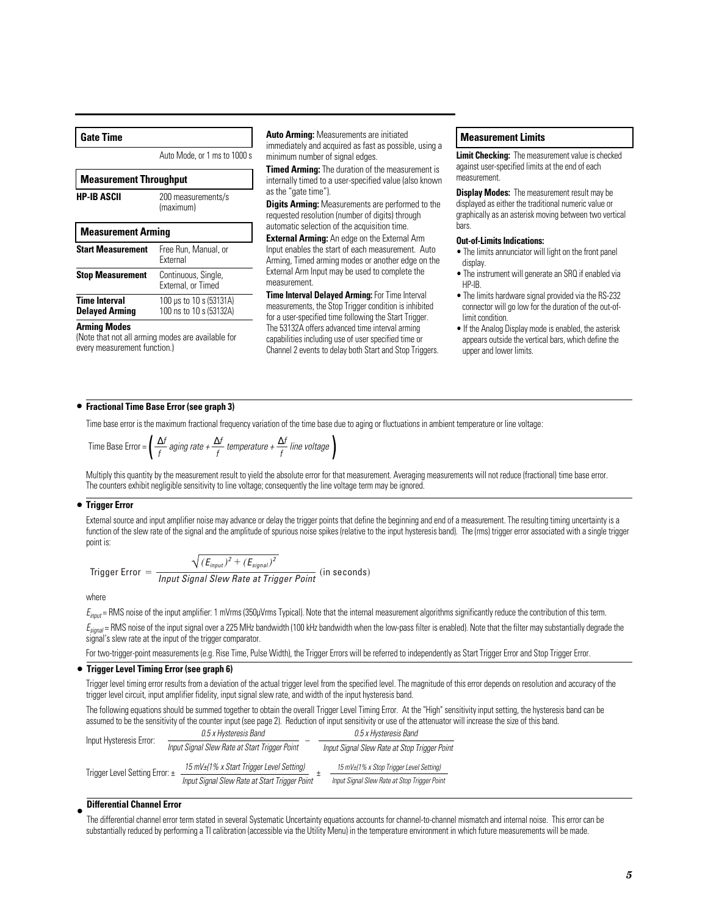#### **Gate Time**

Auto Mode, or 1 ms to 1000 s

| <b>Measurement Throughput</b>                 |                                                    |  |
|-----------------------------------------------|----------------------------------------------------|--|
| <b>HP-IB ASCII</b>                            | 200 measurements/s<br>(maximum)                    |  |
| <b>Measurement Arming</b>                     |                                                    |  |
| <b>Start Measurement</b>                      | Free Run, Manual, or<br><b>Fxternal</b>            |  |
| <b>Stop Measurement</b>                       | Continuous, Single,<br>External, or Timed          |  |
| <b>Time Interval</b><br><b>Delayed Arming</b> | 100 µs to 10 s (53131A)<br>100 ns to 10 s (53132A) |  |

#### **Arming Modes**

(Note that not all arming modes are available for every measurement function.)

**Auto Arming:** Measurements are initiated immediately and acquired as fast as possible, using a minimum number of signal edges.

**Timed Arming:** The duration of the measurement is internally timed to a user-specified value (also known as the "gate time").

**Digits Arming:** Measurements are performed to the requested resolution (number of digits) through automatic selection of the acquisition time.

**External Arming:** An edge on the External Arm Input enables the start of each measurement. Auto Arming, Timed arming modes or another edge on the External Arm Input may be used to complete the measurement.

**Time Interval Delayed Arming:** For Time Interval measurements, the Stop Trigger condition is inhibited for a user-specified time following the Start Trigger. The 53132A offers advanced time interval arming capabilities including use of user specified time or Channel 2 events to delay both Start and Stop Triggers.

### **Measurement Limits**

**Limit Checking:** The measurement value is checked against user-specified limits at the end of each measurement.

**Display Modes:** The measurement result may be displayed as either the traditional numeric value or graphically as an asterisk moving between two vertical bars.

#### **Out-of-Limits Indications:**

- The limits annunciator will light on the front panel display.
- The instrument will generate an SRQ if enabled via HP-IB.
- The limits hardware signal provided via the RS-232 connector will go low for the duration of the out-oflimit condition.
- If the Analog Display mode is enabled, the asterisk appears outside the vertical bars, which define the upper and lower limits.

## • **Fractional Time Base Error (see graph 3)**

Time base error is the maximum fractional frequency variation of the time base due to aging or fluctuations in ambient temperature or line voltage:

Time Base Error = 
$$
\left(\frac{\Delta f}{f} \text{aging rate} + \frac{\Delta f}{f} \text{ temperature} + \frac{\Delta f}{f} \text{ line voltage}\right)
$$

Multiply this quantity by the measurement result to yield the absolute error for that measurement. Averaging measurements will not reduce (fractional) time base error. The counters exhibit negligible sensitivity to line voltage; consequently the line voltage term may be ignored.

## • **Trigger Error**

External source and input amplifier noise may advance or delay the trigger points that define the beginning and end of a measurement. The resulting timing uncertainty is a function of the slew rate of the signal and the amplitude of spurious noise spikes (relative to the input hysteresis band). The (rms) trigger error associated with a single trigger point is:

$$
\sqrt{(E_{input})^2 + (E_{signal})^2}
$$

Trigger Error  $= \frac{\sqrt{(E_{input})^2 + (E_{signal})^2}}{Input Signal Skew Rate at Trigger Point}$  (in seconds)

where

 $E_{input}$  = RMS noise of the input amplifier: 1 mVrms (350µVrms Typical). Note that the internal measurement algorithms significantly reduce the contribution of this term.

 $E_{\text{sional}}$  = RMS noise of the input signal over a 225 MHz bandwidth (100 kHz bandwidth when the low-pass filter is enabled). Note that the filter may substantially degrade the signal's slew rate at the input of the trigger comparator.

For two-trigger-point measurements (e.g. Rise Time, Pulse Width), the Trigger Errors will be referred to independently as Start Trigger Error and Stop Trigger Error.

## **Trigger Level Timing Error (see graph 6)** •

Trigger level timing error results from a deviation of the actual trigger level from the specified level. The magnitude of this error depends on resolution and accuracy of the trigger level circuit, input amplifier fidelity, input signal slew rate, and width of the input hysteresis band.

The following equations should be summed together to obtain the overall Trigger Level Timing Error. At the "High" sensitivity input setting, the hysteresis band can be assumed to be the sensitivity of the counter input (see page 2). Reduction of input sensitivity or use of the attenuator will increase the size of this band.

| Input Hysteresis Error:        | 0.5 x Hysteresis Band                         | 0.5 x Hysteresis Band                        |  |
|--------------------------------|-----------------------------------------------|----------------------------------------------|--|
|                                | Input Signal Slew Rate at Start Trigger Point | Input Signal Slew Rate at Stop Trigger Point |  |
| Trigger Level Setting Error: ± | 15 mV±(1% x Start Trigger Level Setting)      | 15 mV±/1% x Stop Trigger Level Setting)      |  |
|                                | Input Signal Slew Rate at Start Trigger Point | Input Signal Slew Rate at Stop Trigger Point |  |

#### **Differential Channel Error** •

The differential channel error term stated in several Systematic Uncertainty equations accounts for channel-to-channel mismatch and internal noise. This error can be substantially reduced by performing a TI calibration (accessible via the Utility Menu) in the temperature environment in which future measurements will be made.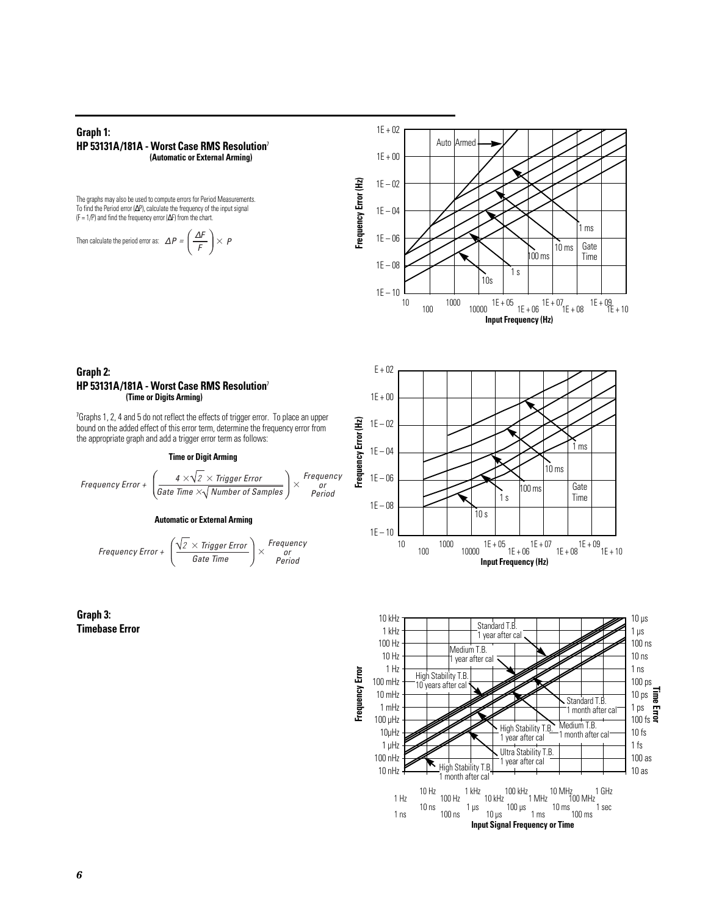### **Graph 1: HP 53131A/181A - Worst Case RMS Resolution**<sup>7</sup> **(Automatic or External Arming)**

The graphs may also be used to compute errors for Period Measurements. To find the Period error (∆P), calculate the frequency of the input signal (F = 1/P) and find the frequency error  $(\Delta F)$  from the chart.

Then calculate the period error as: 
$$
\Delta P = \left(\frac{\Delta F}{F}\right) \times P
$$



#### **Graph 2: HP 53131A/181A - Worst Case RMS Resolution**<sup>7</sup> **(Time or Digits Arming)**

<sup>7</sup>Graphs 1, 2, 4 and 5 do not reflect the effects of trigger error. To place an upper bound on the added effect of this error term, determine the frequency error from the appropriate graph and add a trigger error term as follows:

#### **Time or Digit Arming**

$$
\textit{Frequency Error}~+~\left(\frac{4\times\!\sqrt{2}\times\textit{Trigger Error}}{\textit{Gate Time}\times\!\sqrt{\textit{Number of Samples}}}\right)\times\begin{array}{c}\textit{Frequency}\\ \textit{or}\\ \textit{Period}\end{array}
$$

#### **Automatic or External Arming**

Frequency Error + 
$$
\left( \frac{\sqrt{2} \times \text{Trigger Error}}{\text{Gate Time}} \right) \times \begin{array}{c} \text{Frequency} \\ \text{period} \end{array}
$$





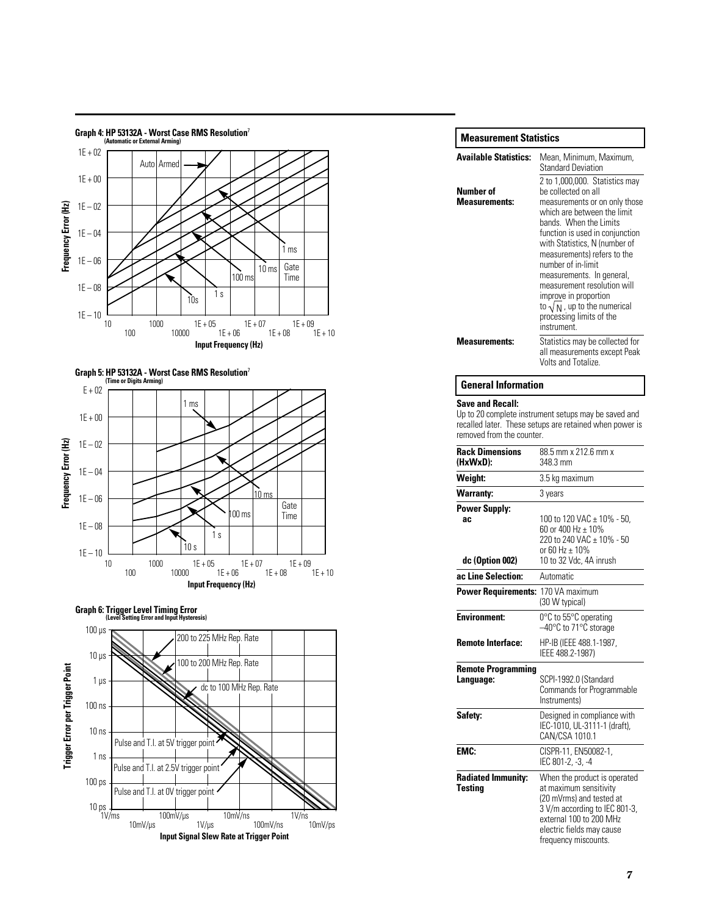





100 µ s 10 µ s 1 µ s 100 ns **Graph 6: Trigger Level Timing Error (Level Setting Error and Input Hysteresis)** 200 to 225 MHz Rep. Rate 100 to 200 MHz Rep. Rate



| <b>Measurement Statistics</b>     |                                                                                                                                                                                                                                                                                                                                                                                                                                                 |
|-----------------------------------|-------------------------------------------------------------------------------------------------------------------------------------------------------------------------------------------------------------------------------------------------------------------------------------------------------------------------------------------------------------------------------------------------------------------------------------------------|
| <b>Available Statistics:</b>      | Mean, Minimum, Maximum,<br><b>Standard Deviation</b>                                                                                                                                                                                                                                                                                                                                                                                            |
| Number of<br><b>Measurements:</b> | 2 to 1,000,000. Statistics may<br>be collected on all<br>measurements or on only those<br>which are between the limit<br>bands. When the Limits<br>function is used in conjunction<br>with Statistics, N (number of<br>measurements) refers to the<br>number of in-limit<br>measurements. In general,<br>measurement resolution will<br>improve in proportion<br>to $\sqrt{N}$ , up to the numerical<br>processing limits of the<br>instrument. |
| <b>Measurements:</b>              | Statistics may be collected for<br>all measurements except Peak<br>Volts and Totalize.                                                                                                                                                                                                                                                                                                                                                          |

#### **General Information**

#### **Save and Recall:**

Up to 20 complete instrument setups may be saved and recalled later. These setups are retained when power is removed from the counter.

| <b>Rack Dimensions</b><br>(HxWxD):             | 88.5 mm x 212.6 mm x<br>348.3 mm                                                                                                                                                                    |  |
|------------------------------------------------|-----------------------------------------------------------------------------------------------------------------------------------------------------------------------------------------------------|--|
| Weight:                                        | 3.5 kg maximum                                                                                                                                                                                      |  |
| <b>Warranty:</b>                               | 3 years                                                                                                                                                                                             |  |
| <b>Power Supply:</b><br>ac.<br>dc (Option 002) | 100 to 120 VAC ± 10% - 50,<br>60 or 400 Hz $\pm$ 10%<br>220 to 240 VAC ± 10% - 50<br>or 60 Hz $\pm$ 10%<br>10 to 32 Vdc, 4A inrush                                                                  |  |
| ac Line Selection:                             | Automatic                                                                                                                                                                                           |  |
| <b>Power Requirements:</b>                     | 170 VA maximum<br>(30 W typical)                                                                                                                                                                    |  |
| <b>Environment:</b>                            | 0°C to 55°C operating<br>-40°C to 71°C storage                                                                                                                                                      |  |
| <b>Remote Interface:</b>                       | HP-IB (IEEE 488.1-1987,<br>IEEE 488.2-1987)                                                                                                                                                         |  |
| <b>Remote Programming</b><br>Language:         | SCPI-1992.0 (Standard<br>Commands for Programmable<br>Instruments)                                                                                                                                  |  |
| Safety:                                        | Designed in compliance with<br>IEC-1010, UL-3111-1 (draft),<br>CAN/CSA 1010.1                                                                                                                       |  |
| <b>EMC:</b>                                    | CISPR-11, EN50082-1,<br>IEC 801-2, -3, -4                                                                                                                                                           |  |
| <b>Radiated Immunity:</b><br><b>Testing</b>    | When the product is operated<br>at maximum sensitivity<br>(20 mVrms) and tested at<br>3 V/m according to IEC 801-3,<br>external 100 to 200 MHz<br>electric fields may cause<br>frequency miscounts. |  |